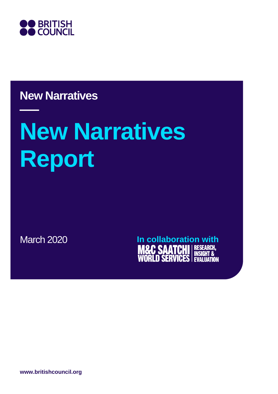

# **New Narratives**

# **New Narratives Report**

March 2020 **In collaboration with**<br>**M&C SAATCHI** RESEARCH, **SERVICES ATION** 

**www.britishcouncil.org**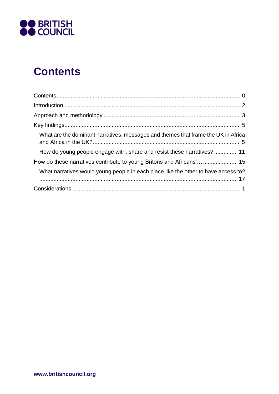

# **Contents**

| What are the dominant narratives, messages and themes that frame the UK in Africa  |
|------------------------------------------------------------------------------------|
| How do young people engage with, share and resist these narratives? 11             |
|                                                                                    |
| What narratives would young people in each place like the other to have access to? |
|                                                                                    |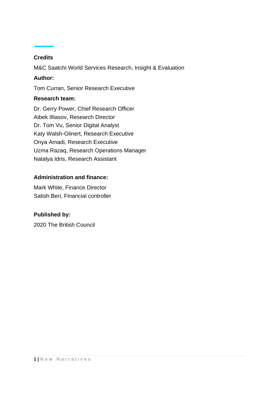#### **Credits**

M&C Saatchi World Services Research, Insight & Evaluation

#### **Author:**

Tom Curran, Senior Research Executive

#### **Research team:**

Dr. Gerry Power, Chief Research Officer Aibek Illiasov, Research Director Dr. Tom Vu, Senior Digital Analyst Katy Walsh-Glinert, Research Executive Onya Amadi, Research Executive Uzma Razaq, Research Operations Manager Natalya Idris, Research Assistant

#### **Administration and finance:**

Mark White, Finance Director Satish Beri, Financial controller

#### **Published by:**

2020 The British Council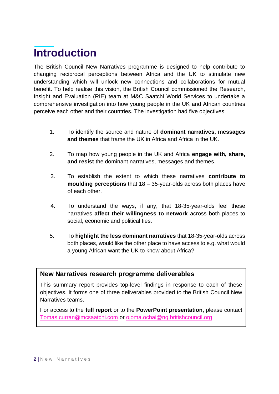# **Introduction**

The British Council New Narratives programme is designed to help contribute to changing reciprocal perceptions between Africa and the UK to stimulate new understanding which will unlock new connections and collaborations for mutual benefit. To help realise this vision, the British Council commissioned the Research, Insight and Evaluation (RIE) team at M&C Saatchi World Services to undertake a comprehensive investigation into how young people in the UK and African countries perceive each other and their countries. The investigation had five objectives:

- 1. To identify the source and nature of **dominant narratives, messages and themes** that frame the UK in Africa and Africa in the UK.
- 2. To map how young people in the UK and Africa **engage with, share, and resist** the dominant narratives, messages and themes.
- 3. To establish the extent to which these narratives **contribute to moulding perceptions** that 18 – 35-year-olds across both places have of each other.
- 4. To understand the ways, if any, that 18-35-year-olds feel these narratives **affect their willingness to network** across both places to social, economic and political ties.
- 5. To **highlight the less dominant narratives** that 18-35-year-olds across both places, would like the other place to have access to e.g. what would a young African want the UK to know about Africa?

#### **New Narratives research programme deliverables**

This summary report provides top-level findings in response to each of these objectives. It forms one of three deliverables provided to the British Council New Narratives teams.

For access to the **full report** or to the **PowerPoint presentation**, please contact [Tomas.curran@mcsaatchi.com](mailto:Tomas.curran@mcsaatchi.com) or [ojoma.ochai@ng.britishcouncil.org](mailto:ojoma.ochai@ng.britishcouncil.org)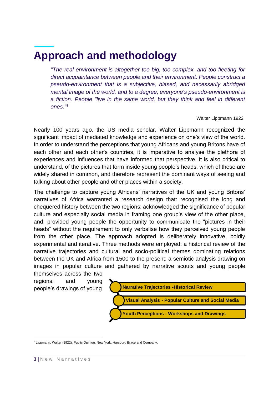# **Approach and methodology**

*"The real environment is altogether too big, too complex, and too fleeting for direct acquaintance between people and their environment. People construct a pseudo-environment that is a subjective, biased, and necessarily abridged [mental image](https://en.wikipedia.org/wiki/Mental_image) of the world, and to a degree, everyone's pseudo-environment is a fiction. People "live in the same world, but they think and feel in different ones."<sup>1</sup>*

#### Walter Lippmann 1922

Nearly 100 years ago, the US media scholar, Walter Lippmann recognized the significant impact of mediated knowledge and experience on one's view of the world. In order to understand the perceptions that young Africans and young Britons have of each other and each other's countries, it is imperative to analyse the plethora of experiences and influences that have informed that perspective. It is also critical to understand, of the pictures that form inside young people's heads, which of these are widely shared in common, and therefore represent the dominant ways of seeing and talking about other people and other places within a society.

The challenge to capture young Africans' narratives of the UK and young Britons' narratives of Africa warranted a research design that: recognised the long and chequered history between the two regions; acknowledged the significance of popular culture and especially social media in framing one group's view of the other place, and: provided young people the opportunity to communicate the "pictures in their heads" without the requirement to only verbalise how they perceived young people from the other place. The approach adopted is deliberately innovative, boldly experimental and iterative. Three methods were employed: a historical review of the narrative trajectories and cultural and socio-political themes dominating relations between the UK and Africa from 1500 to the present; a semiotic analysis drawing on images in popular culture and gathered by narrative scouts and young people

themselves across the two regions; and young people's drawings of young



<sup>1</sup> Lippmann, Walter (1922)[. Public Opinion.](https://archive.org/stream/publicopinion00lippgoog#page/n6/mode/2up) New York: Harcourt, Brace and Company.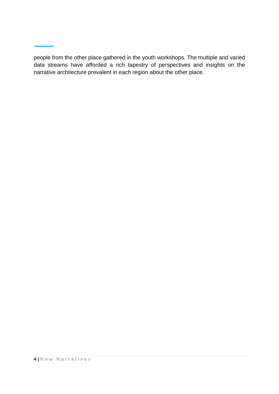people from the other place gathered in the youth workshops. The multiple and varied data streams have afforded a rich tapestry of perspectives and insights on the narrative architecture prevalent in each region about the other place.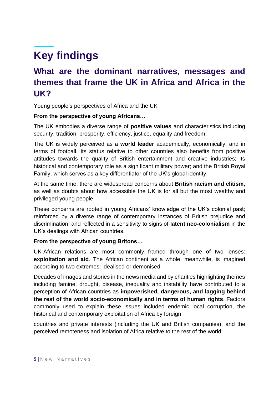# **Key findings**

# **What are the dominant narratives, messages and themes that frame the UK in Africa and Africa in the UK?**

Young people's perspectives of Africa and the UK

#### **From the perspective of young Africans…**

The UK embodies a diverse range of **positive values** and characteristics including security, tradition, prosperity, efficiency, justice, equality and freedom.

The UK is widely perceived as a **world leader** academically, economically, and in terms of football. Its status relative to other countries also benefits from positive attitudes towards the quality of British entertainment and creative industries; its historical and contemporary role as a significant military power; and the British Royal Family, which serves as a key differentiator of the UK's global identity.

At the same time, there are widespread concerns about **British racism and elitism**, as well as doubts about how accessible the UK is for all but the most wealthy and privileged young people.

These concerns are rooted in young Africans' knowledge of the UK's colonial past; reinforced by a diverse range of contemporary instances of British prejudice and discrimination; and reflected in a sensitivity to signs of **latent neo-colonialism** in the UK's dealings with African countries.

#### **From the perspective of young Britons…**

UK-African relations are most commonly framed through one of two lenses: **exploitation and aid**. The African continent as a whole, meanwhile, is imagined according to two extremes: idealised or demonised.

Decades of images and stories in the news media and by charities highlighting themes including famine, drought, disease, inequality and instability have contributed to a perception of African countries as **impoverished, dangerous, and lagging behind the rest of the world socio-economically and in terms of human rights**. Factors commonly used to explain these issues included endemic local corruption, the historical and contemporary exploitation of Africa by foreign

countries and private interests (including the UK and British companies), and the perceived remoteness and isolation of Africa relative to the rest of the world.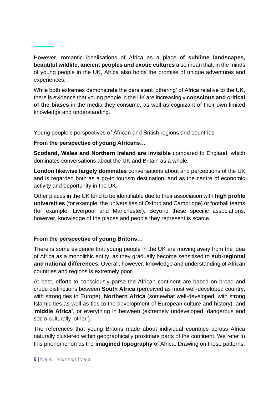However, romantic idealisations of Africa as a place of **sublime landscapes, beautiful wildlife, ancient peoples and exotic cultures** also mean that, in the minds of young people in the UK, Africa also holds the promise of unique adventures and experiences.

While both extremes demonstrate the persistent 'othering' of Africa relative to the UK, there is evidence that young people in the UK are increasingly **conscious and critical of the biases** in the media they consume, as well as cognizant of their own limited knowledge and understanding.

Young people's perspectives of African and British regions and countries

#### **From the perspective of young Africans…**

**Scotland, Wales and Northern Ireland are invisible** compared to England, which dominates conversations about the UK and Britain as a whole.

**London likewise largely dominates** conversations about and perceptions of the UK and is regarded both as a go-to tourism destination, and as the centre of economic activity and opportunity in the UK.

Other places in the UK tend to be identifiable due to their association with **high profile universities** (for example, the universities of Oxford and Cambridge) or football teams (for example, Liverpool and Manchester). Beyond these specific associations, however, knowledge of the places and people they represent is scarce.

#### **From the perspective of young Britons…**

There is some evidence that young people in the UK are moving away from the idea of Africa as a monolithic entity, as they gradually become sensitised to **sub-regional and national differences**. Overall, however, knowledge and understanding of African countries and regions is extremely poor.

At best, efforts to consciously parse the African continent are based on broad and crude distinctions between **South Africa** (perceived as most well-developed country, with strong ties to Europe), **Northern Africa** (somewhat well-developed, with strong Islamic ties as well as ties to the development of European culture and history), and '**middle Africa'**, or everything in between (extremely undeveloped, dangerous and socio-culturally 'other').

The references that young Britons made about individual countries across Africa naturally clustered within geographically proximate parts of the continent. We refer to this phenomenon as the **imagined topography** of Africa. Drawing on these patterns,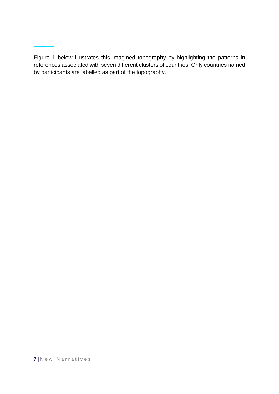Figure 1 below illustrates this imagined topography by highlighting the patterns in references associated with seven different clusters of countries. Only countries named by participants are labelled as part of the topography.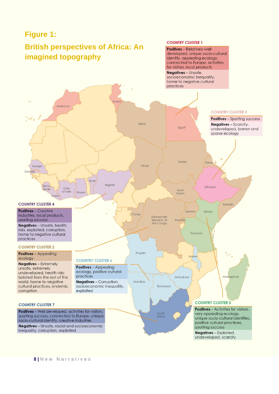#### **Figure 1:**

# **British perspectives of Africa: An**

#### **COUNTRY CLUSTER 1**

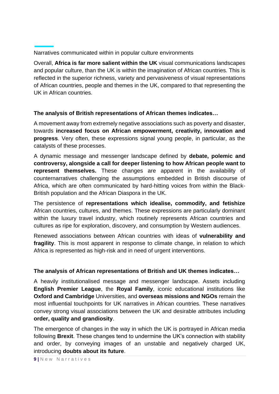Narratives communicated within in popular culture environments

Overall, **Africa is far more salient within the UK** visual communications landscapes and popular culture, than the UK is within the imagination of African countries. This is reflected in the superior richness, variety and pervasiveness of visual representations of African countries, people and themes in the UK, compared to that representing the UK in African countries.

#### **The analysis of British representations of African themes indicates…**

A movement away from extremely negative associations such as poverty and disaster, towards **increased focus on African empowerment, creativity, innovation and progress**. Very often, these expressions signal young people, in particular, as the catalysts of these processes.

A dynamic message and messenger landscape defined by **debate, polemic and controversy, alongside a call for deeper listening to how African people want to represent themselves.** These changes are apparent in the availability of counternarratives challenging the assumptions embedded in British discourse of Africa, which are often communicated by hard-hitting voices from within the Black-British population and the African Diaspora in the UK.

The persistence of **representations which idealise, commodify, and fetishize** African countries, cultures, and themes. These expressions are particularly dominant within the luxury travel industry, which routinely represents African countries and cultures as ripe for exploration, discovery, and consumption by Western audiences.

Renewed associations between African countries with ideas of **vulnerability and fragility**. This is most apparent in response to climate change, in relation to which Africa is represented as high-risk and in need of urgent interventions.

#### **The analysis of African representations of British and UK themes indicates…**

A heavily institutionalised message and messenger landscape. Assets including **English Premier League**, the **Royal Family**, iconic educational institutions like **Oxford and Cambridge** Universities, and **overseas missions and NGOs** remain the most influential touchpoints for UK narratives in African countries. These narratives convey strong visual associations between the UK and desirable attributes including **order, quality and grandiosity**.

The emergence of changes in the way in which the UK is portrayed in African media following **Brexit**. These changes tend to undermine the UK's connection with stability and order, by conveying images of an unstable and negatively charged UK, introducing **doubts about its future**.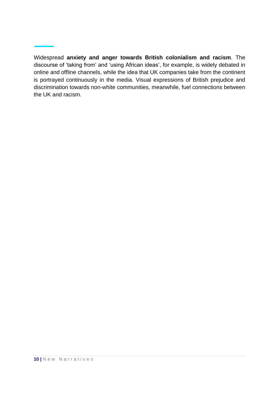Widespread **anxiety and anger towards British colonialism and racism**. The discourse of 'taking from' and 'using African ideas', for example, is widely debated in online and offline channels, while the idea that UK companies take from the continent is portrayed continuously in the media. Visual expressions of British prejudice and discrimination towards non-white communities, meanwhile, fuel connections between the UK and racism.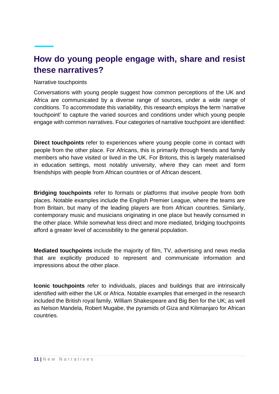## **How do young people engage with, share and resist these narratives?**

#### Narrative touchpoints

Conversations with young people suggest how common perceptions of the UK and Africa are communicated by a diverse range of sources, under a wide range of conditions. To accommodate this variability, this research employs the term 'narrative touchpoint' to capture the varied sources and conditions under which young people engage with common narratives. Four categories of narrative touchpoint are identified:

**Direct touchpoints** refer to experiences where young people come in contact with people from the other place. For Africans, this is primarily through friends and family members who have visited or lived in the UK. For Britons, this is largely materialised in education settings, most notably university, where they can meet and form friendships with people from African countries or of African descent.

**Bridging touchpoints** refer to formats or platforms that involve people from both places. Notable examples include the English Premier League, where the teams are from Britain, but many of the leading players are from African countries. Similarly, contemporary music and musicians originating in one place but heavily consumed in the other place. While somewhat less direct and more mediated, bridging touchpoints afford a greater level of accessibility to the general population.

**Mediated touchpoints** include the majority of film, TV, advertising and news media that are explicitly produced to represent and communicate information and impressions about the other place.

**Iconic touchpoints** refer to individuals, places and buildings that are intrinsically identified with either the UK or Africa. Notable examples that emerged in the research included the British royal family, William Shakespeare and Big Ben for the UK; as well as Nelson Mandela, Robert Mugabe, the pyramids of Giza and Kilimanjaro for African countries.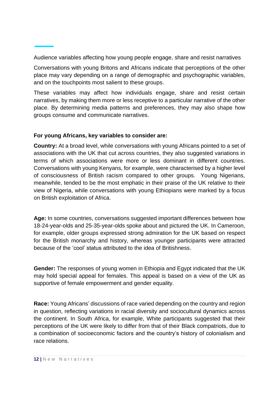Audience variables affecting how young people engage, share and resist narratives

Conversations with young Britons and Africans indicate that perceptions of the other place may vary depending on a range of demographic and psychographic variables, and on the touchpoints most salient to these groups.

These variables may affect how individuals engage, share and resist certain narratives, by making them more or less receptive to a particular narrative of the other place. By determining media patterns and preferences, they may also shape how groups consume and communicate narratives.

#### **For young Africans, key variables to consider are:**

**Country:** At a broad level, while conversations with young Africans pointed to a set of associations with the UK that cut across countries, they also suggested variations in terms of which associations were more or less dominant in different countries. Conversations with young Kenyans, for example, were characterised by a higher level of consciousness of British racism compared to other groups. Young Nigerians, meanwhile, tended to be the most emphatic in their praise of the UK relative to their view of Nigeria, while conversations with young Ethiopians were marked by a focus on British exploitation of Africa.

**Age:** In some countries, conversations suggested important differences between how 18-24-year-olds and 25-35-year-olds spoke about and pictured the UK. In Cameroon, for example, older groups expressed strong admiration for the UK based on respect for the British monarchy and history, whereas younger participants were attracted because of the 'cool' status attributed to the idea of Britishness.

**Gender:** The responses of young women in Ethiopia and Egypt indicated that the UK may hold special appeal for females. This appeal is based on a view of the UK as supportive of female empowerment and gender equality.

**Race:** Young Africans' discussions of race varied depending on the country and region in question, reflecting variations in racial diversity and sociocultural dynamics across the continent. In South Africa, for example, White participants suggested that their perceptions of the UK were likely to differ from that of their Black compatriots, due to a combination of socioeconomic factors and the country's history of colonialism and race relations.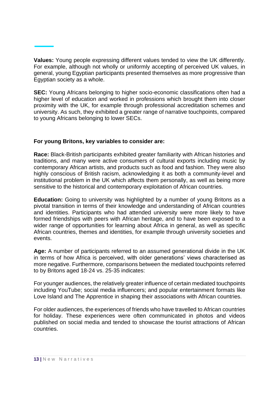**Values:** Young people expressing different values tended to view the UK differently. For example, although not wholly or uniformly accepting of perceived UK values, in general, young Egyptian participants presented themselves as more progressive than Egyptian society as a whole.

**SEC:** Young Africans belonging to higher socio-economic classifications often had a higher level of education and worked in professions which brought them into closer proximity with the UK, for example through professional accreditation schemes and university. As such, they exhibited a greater range of narrative touchpoints, compared to young Africans belonging to lower SECs.

#### **For young Britons, key variables to consider are:**

**Race:** Black-British participants exhibited greater familiarity with African histories and traditions, and many were active consumers of cultural exports including music by contemporary African artists, and products such as food and fashion. They were also highly conscious of British racism, acknowledging it as both a community-level and institutional problem in the UK which affects them personally, as well as being more sensitive to the historical and contemporary exploitation of African countries.

**Education:** Going to university was highlighted by a number of young Britons as a pivotal transition in terms of their knowledge and understanding of African countries and identities. Participants who had attended university were more likely to have formed friendships with peers with African heritage, and to have been exposed to a wider range of opportunities for learning about Africa in general, as well as specific African countries, themes and identities, for example through university societies and events.

**Age:** A number of participants referred to an assumed generational divide in the UK in terms of how Africa is perceived, with older generations' views characterised as more negative. Furthermore, comparisons between the mediated touchpoints referred to by Britons aged 18-24 vs. 25-35 indicates:

For younger audiences, the relatively greater influence of certain mediated touchpoints including YouTube; social media influencers; and popular entertainment formats like Love Island and The Apprentice in shaping their associations with African countries.

For older audiences, the experiences of friends who have travelled to African countries for holiday. These experiences were often communicated in photos and videos published on social media and tended to showcase the tourist attractions of African countries.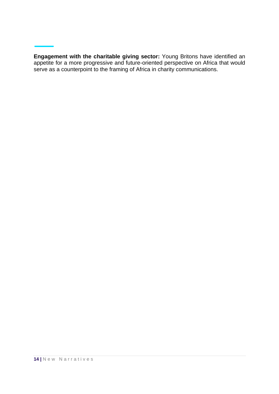**Engagement with the charitable giving sector:** Young Britons have identified an appetite for a more progressive and future-oriented perspective on Africa that would serve as a counterpoint to the framing of Africa in charity communications.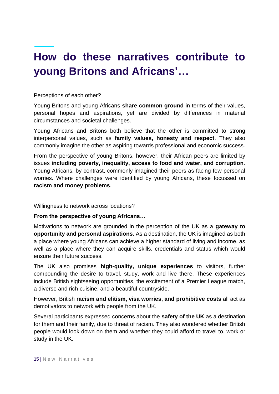# **How do these narratives contribute to young Britons and Africans'…**

Perceptions of each other?

Young Britons and young Africans **share common ground** in terms of their values, personal hopes and aspirations, yet are divided by differences in material circumstances and societal challenges.

Young Africans and Britons both believe that the other is committed to strong interpersonal values, such as **family values, honesty and respect**. They also commonly imagine the other as aspiring towards professional and economic success.

From the perspective of young Britons, however, their African peers are limited by issues **including poverty, inequality, access to food and water, and corruption**. Young Africans, by contrast, commonly imagined their peers as facing few personal worries. Where challenges were identified by young Africans, these focussed on **racism and money problems**.

Willingness to network across locations?

**From the perspective of young Africans…** 

Motivations to network are grounded in the perception of the UK as a **gateway to opportunity and personal aspirations**. As a destination, the UK is imagined as both a place where young Africans can achieve a higher standard of living and income, as well as a place where they can acquire skills, credentials and status which would ensure their future success.

The UK also promises **high-quality, unique experiences** to visitors, further compounding the desire to travel, study, work and live there. These experiences include British sightseeing opportunities, the excitement of a Premier League match, a diverse and rich cuisine, and a beautiful countryside.

However, British **racism and elitism, visa worries, and prohibitive costs** all act as demotivators to network with people from the UK.

Several participants expressed concerns about the **safety of the UK** as a destination for them and their family, due to threat of racism. They also wondered whether British people would look down on them and whether they could afford to travel to, work or study in the UK.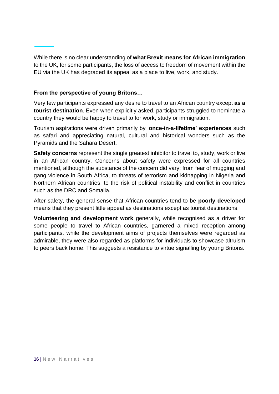While there is no clear understanding of **what Brexit means for African immigration**  to the UK, for some participants, the loss of access to freedom of movement within the EU via the UK has degraded its appeal as a place to live, work, and study.

#### **From the perspective of young Britons…**

Very few participants expressed any desire to travel to an African country except **as a tourist destination**. Even when explicitly asked, participants struggled to nominate a country they would be happy to travel to for work, study or immigration.

Tourism aspirations were driven primarily by '**once-in-a-lifetime' experiences** such as safari and appreciating natural, cultural and historical wonders such as the Pyramids and the Sahara Desert.

**Safety concerns** represent the single greatest inhibitor to travel to, study, work or live in an African country. Concerns about safety were expressed for all countries mentioned, although the substance of the concern did vary: from fear of mugging and gang violence in South Africa, to threats of terrorism and kidnapping in Nigeria and Northern African countries, to the risk of political instability and conflict in countries such as the DRC and Somalia.

After safety, the general sense that African countries tend to be **poorly developed** means that they present little appeal as destinations except as tourist destinations.

**Volunteering and development work** generally, while recognised as a driver for some people to travel to African countries, garnered a mixed reception among participants. while the development aims of projects themselves were regarded as admirable, they were also regarded as platforms for individuals to showcase altruism to peers back home. This suggests a resistance to virtue signalling by young Britons.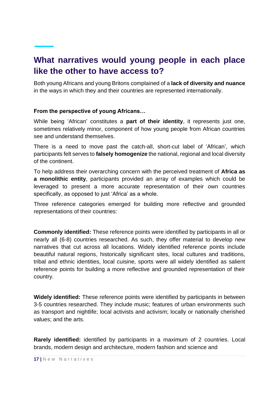## **What narratives would young people in each place like the other to have access to?**

Both young Africans and young Britons complained of a **lack of diversity and nuance** in the ways in which they and their countries are represented internationally.

#### **From the perspective of young Africans…**

While being 'African' constitutes a **part of their identity**, it represents just one, sometimes relatively minor, component of how young people from African countries see and understand themselves.

There is a need to move past the catch-all, short-cut label of 'African', which participants felt serves to **falsely homogenize** the national, regional and local diversity of the continent.

To help address their overarching concern with the perceived treatment of **Africa as a monolithic entity**, participants provided an array of examples which could be leveraged to present a more accurate representation of their own countries specifically, as opposed to just 'Africa' as a whole.

Three reference categories emerged for building more reflective and grounded representations of their countries:

**Commonly identified:** These reference points were identified by participants in all or nearly all (6-8) countries researched. As such, they offer material to develop new narratives that cut across all locations. Widely identified reference points include beautiful natural regions, historically significant sites, local cultures and traditions, tribal and ethnic identities, local cuisine, sports were all widely identified as salient reference points for building a more reflective and grounded representation of their country.

**Widely identified:** These reference points were identified by participants in between 3-5 countries researched. They include music; features of urban environments such as transport and nightlife; local activists and activism; locally or nationally cherished values; and the arts.

**Rarely identified:** identified by participants in a maximum of 2 countries. Local brands, modern design and architecture, modern fashion and science and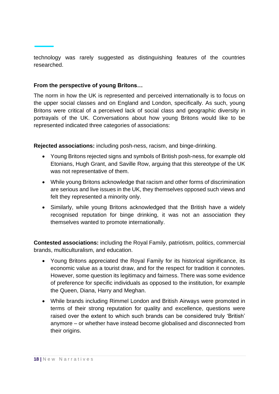technology was rarely suggested as distinguishing features of the countries researched.

#### **From the perspective of young Britons…**

The norm in how the UK is represented and perceived internationally is to focus on the upper social classes and on England and London, specifically. As such, young Britons were critical of a perceived lack of social class and geographic diversity in portrayals of the UK. Conversations about how young Britons would like to be represented indicated three categories of associations:

**Rejected associations:** including posh-ness, racism, and binge-drinking.

- Young Britons rejected signs and symbols of British posh-ness, for example old Etonians, Hugh Grant, and Saville Row, arguing that this stereotype of the UK was not representative of them.
- While young Britons acknowledge that racism and other forms of discrimination are serious and live issues in the UK, they themselves opposed such views and felt they represented a minority only.
- Similarly, while young Britons acknowledged that the British have a widely recognised reputation for binge drinking, it was not an association they themselves wanted to promote internationally.

**Contested associations:** including the Royal Family, patriotism, politics, commercial brands, multiculturalism, and education.

- Young Britons appreciated the Royal Family for its historical significance, its economic value as a tourist draw, and for the respect for tradition it connotes. However, some question its legitimacy and fairness. There was some evidence of preference for specific individuals as opposed to the institution, for example the Queen, Diana, Harry and Meghan.
- While brands including Rimmel London and British Airways were promoted in terms of their strong reputation for quality and excellence, questions were raised over the extent to which such brands can be considered truly 'British' anymore – or whether have instead become globalised and disconnected from their origins.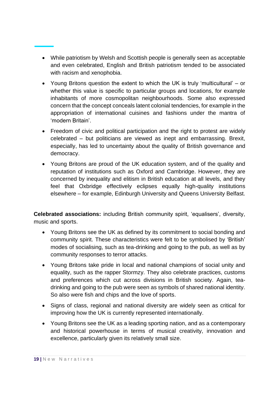- While patriotism by Welsh and Scottish people is generally seen as acceptable and even celebrated, English and British patriotism tended to be associated with racism and xenophobia.
- Young Britons question the extent to which the UK is truly 'multicultural' or whether this value is specific to particular groups and locations, for example inhabitants of more cosmopolitan neighbourhoods. Some also expressed concern that the concept conceals latent colonial tendencies, for example in the appropriation of international cuisines and fashions under the mantra of 'modern Britain'.
- Freedom of civic and political participation and the right to protest are widely celebrated – but politicians are viewed as inept and embarrassing. Brexit, especially, has led to uncertainty about the quality of British governance and democracy.
- Young Britons are proud of the UK education system, and of the quality and reputation of institutions such as Oxford and Cambridge. However, they are concerned by inequality and elitism in British education at all levels, and they feel that Oxbridge effectively eclipses equally high-quality institutions elsewhere – for example, Edinburgh University and Queens University Belfast.

**Celebrated associations:** including British community spirit, 'equalisers', diversity, music and sports.

- Young Britons see the UK as defined by its commitment to social bonding and community spirit. These characteristics were felt to be symbolised by 'British' modes of socialising, such as tea-drinking and going to the pub, as well as by community responses to terror attacks.
- Young Britons take pride in local and national champions of social unity and equality, such as the rapper Stormzy. They also celebrate practices, customs and preferences which cut across divisions in British society. Again, teadrinking and going to the pub were seen as symbols of shared national identity. So also were fish and chips and the love of sports.
- Signs of class, regional and national diversity are widely seen as critical for improving how the UK is currently represented internationally.
- Young Britons see the UK as a leading sporting nation, and as a contemporary and historical powerhouse in terms of musical creativity, innovation and excellence, particularly given its relatively small size.